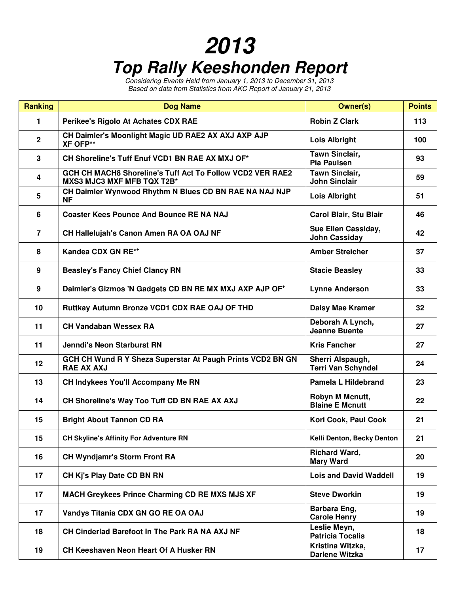## **2013 Top Rally Keeshonden Report**

Considering Events Held from January 1, 2013 to December 31, 2013 Based on data from Statistics from AKC Report of January 21, 2013

| <b>Ranking</b>  | <b>Dog Name</b>                                                                                | <b>Owner(s)</b>                               | <b>Points</b> |
|-----------------|------------------------------------------------------------------------------------------------|-----------------------------------------------|---------------|
| 1               | Perikee's Rigolo At Achates CDX RAE                                                            | <b>Robin Z Clark</b>                          | 113           |
| $\overline{2}$  | CH Daimler's Moonlight Magic UD RAE2 AX AXJ AXP AJP<br><b>XF OFP**</b>                         | <b>Lois Albright</b>                          | 100           |
| $\mathbf{3}$    | CH Shoreline's Tuff Enuf VCD1 BN RAE AX MXJ OF*                                                | <b>Tawn Sinclair,</b><br><b>Pia Paulsen</b>   | 93            |
| 4               | GCH CH MACH8 Shoreline's Tuff Act To Follow VCD2 VER RAE2<br><b>MXS3 MJC3 MXF MFB TQX T2B*</b> | <b>Tawn Sinclair,</b><br><b>John Sinclair</b> | 59            |
| 5               | CH Daimler Wynwood Rhythm N Blues CD BN RAE NA NAJ NJP<br><b>NF</b>                            | <b>Lois Albright</b>                          | 51            |
| 6               | <b>Coaster Kees Pounce And Bounce RE NA NAJ</b>                                                | Carol Blair, Stu Blair                        | 46            |
| $\overline{7}$  | CH Hallelujah's Canon Amen RA OA OAJ NF                                                        | Sue Ellen Cassiday,<br><b>John Cassiday</b>   | 42            |
| 8               | Kandea CDX GN RE**                                                                             | <b>Amber Streicher</b>                        | 37            |
| 9               | <b>Beasley's Fancy Chief Clancy RN</b>                                                         | <b>Stacie Beasley</b>                         | 33            |
| 9               | Daimler's Gizmos 'N Gadgets CD BN RE MX MXJ AXP AJP OF <sup>+</sup>                            | <b>Lynne Anderson</b>                         | 33            |
| 10              | Ruttkay Autumn Bronze VCD1 CDX RAE OAJ OF THD                                                  | Daisy Mae Kramer                              | 32            |
| 11              | <b>CH Vandaban Wessex RA</b>                                                                   | Deborah A Lynch,<br><b>Jeanne Buente</b>      | 27            |
| 11              | <b>Jenndi's Neon Starburst RN</b>                                                              | <b>Kris Fancher</b>                           | 27            |
| 12 <sup>2</sup> | GCH CH Wund R Y Sheza Superstar At Paugh Prints VCD2 BN GN<br><b>RAE AX AXJ</b>                | Sherri Alspaugh,<br><b>Terri Van Schyndel</b> | 24            |
| 13              | CH Indykees You'll Accompany Me RN                                                             | Pamela L Hildebrand                           | 23            |
| 14              | CH Shoreline's Way Too Tuff CD BN RAE AX AXJ                                                   | Robyn M Mcnutt,<br><b>Blaine E Mcnutt</b>     | 22            |
| 15              | <b>Bright About Tannon CD RA</b>                                                               | Kori Cook, Paul Cook                          | 21            |
| 15              | <b>CH Skyline's Affinity For Adventure RN</b>                                                  | Kelli Denton, Becky Denton                    | 21            |
| 16              | <b>CH Wyndjamr's Storm Front RA</b>                                                            | <b>Richard Ward,</b><br><b>Mary Ward</b>      | 20            |
| 17              | CH Kj's Play Date CD BN RN                                                                     | <b>Lois and David Waddell</b>                 | 19            |
| 17              | <b>MACH Greykees Prince Charming CD RE MXS MJS XF</b>                                          | <b>Steve Dworkin</b>                          | 19            |
| 17              | Vandys Titania CDX GN GO RE OA OAJ                                                             | Barbara Eng,<br><b>Carole Henry</b>           | 19            |
| 18              | CH Cinderlad Barefoot In The Park RA NA AXJ NF                                                 | Leslie Meyn,<br><b>Patricia Tocalis</b>       | 18            |
| 19              | <b>CH Keeshaven Neon Heart Of A Husker RN</b>                                                  | Kristina Witzka,<br>Darlene Witzka            | 17            |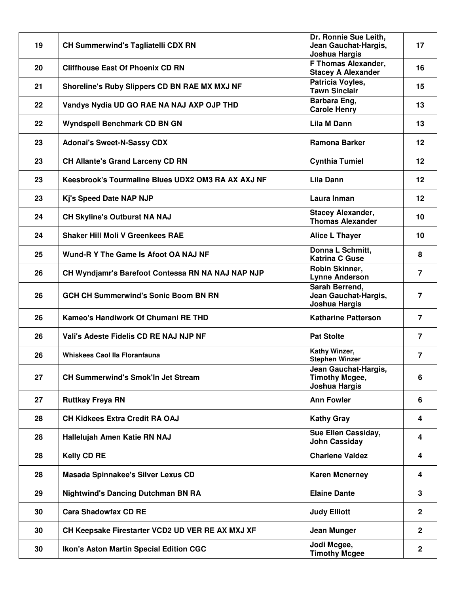| 19 | <b>CH Summerwind's Tagliatelli CDX RN</b>          | Dr. Ronnie Sue Leith,<br>Jean Gauchat-Hargis,<br><b>Joshua Hargis</b> | 17             |
|----|----------------------------------------------------|-----------------------------------------------------------------------|----------------|
| 20 | <b>Cliffhouse East Of Phoenix CD RN</b>            | F Thomas Alexander,<br><b>Stacey A Alexander</b>                      | 16             |
| 21 | Shoreline's Ruby Slippers CD BN RAE MX MXJ NF      | Patricia Voyles,<br><b>Tawn Sinclair</b>                              | 15             |
| 22 | Vandys Nydia UD GO RAE NA NAJ AXP OJP THD          | Barbara Eng,<br><b>Carole Henry</b>                                   | 13             |
| 22 | Wyndspell Benchmark CD BN GN                       | Lila M Dann                                                           | 13             |
| 23 | <b>Adonai's Sweet-N-Sassy CDX</b>                  | <b>Ramona Barker</b>                                                  | $12 \,$        |
| 23 | <b>CH Allante's Grand Larceny CD RN</b>            | <b>Cynthia Tumiel</b>                                                 | $12 \,$        |
| 23 | Keesbrook's Tourmaline Blues UDX2 OM3 RA AX AXJ NF | Lila Dann                                                             | 12             |
| 23 | Kj's Speed Date NAP NJP                            | Laura Inman                                                           | 12             |
| 24 | <b>CH Skyline's Outburst NA NAJ</b>                | <b>Stacey Alexander,</b><br><b>Thomas Alexander</b>                   | 10             |
| 24 | <b>Shaker Hill Moli V Greenkees RAE</b>            | Alice L Thayer                                                        | 10             |
| 25 | Wund-R Y The Game Is Afoot OA NAJ NF               | Donna L Schmitt,<br><b>Katrina C Guse</b>                             | 8              |
| 26 | CH Wyndjamr's Barefoot Contessa RN NA NAJ NAP NJP  | Robin Skinner,<br><b>Lynne Anderson</b>                               | $\overline{7}$ |
| 26 | <b>GCH CH Summerwind's Sonic Boom BN RN</b>        | Sarah Berrend,<br>Jean Gauchat-Hargis,<br>Joshua Hargis               | $\overline{7}$ |
| 26 | Kameo's Handiwork Of Chumani RE THD                | <b>Katharine Patterson</b>                                            | $\overline{7}$ |
| 26 | Vali's Adeste Fidelis CD RE NAJ NJP NF             | <b>Pat Stolte</b>                                                     | $\overline{7}$ |
| 26 | Whiskees Caol IIa Floranfauna                      | Kathy Winzer,<br><b>Stephen Winzer</b>                                | $\overline{7}$ |
| 27 | <b>CH Summerwind's Smok'In Jet Stream</b>          | Jean Gauchat-Hargis,<br><b>Timothy Mcgee,</b><br><b>Joshua Hargis</b> | 6              |
| 27 | <b>Ruttkay Freya RN</b>                            | <b>Ann Fowler</b>                                                     | 6              |
| 28 | <b>CH Kidkees Extra Credit RA OAJ</b>              | <b>Kathy Gray</b>                                                     | 4              |
| 28 | Hallelujah Amen Katie RN NAJ                       | Sue Ellen Cassiday,<br><b>John Cassiday</b>                           | 4              |
| 28 | <b>Kelly CD RE</b>                                 | <b>Charlene Valdez</b>                                                | 4              |
| 28 | Masada Spinnakee's Silver Lexus CD                 | <b>Karen Mcnerney</b>                                                 | 4              |
| 29 | <b>Nightwind's Dancing Dutchman BN RA</b>          | <b>Elaine Dante</b>                                                   | 3              |
| 30 | <b>Cara Shadowfax CD RE</b>                        | <b>Judy Elliott</b>                                                   | $\overline{2}$ |
| 30 | CH Keepsake Firestarter VCD2 UD VER RE AX MXJ XF   | Jean Munger                                                           | $\overline{2}$ |
| 30 | <b>Ikon's Aston Martin Special Edition CGC</b>     | Jodi Mcgee,<br><b>Timothy Mcgee</b>                                   | $\mathbf{2}$   |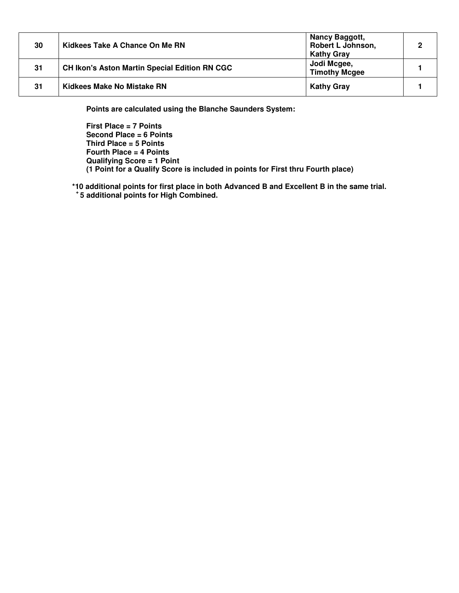| 30 | Kidkees Take A Chance On Me RN                       | Nancy Baggott,<br>Robert L Johnson,<br><b>Kathy Gray</b> | $\overline{2}$ |
|----|------------------------------------------------------|----------------------------------------------------------|----------------|
| 31 | <b>CH Ikon's Aston Martin Special Edition RN CGC</b> | Jodi Mcgee,<br><b>Timothy Mcgee</b>                      |                |
| 31 | Kidkees Make No Mistake RN                           | <b>Kathy Gray</b>                                        |                |

**Points are calculated using the Blanche Saunders System:** 

**First Place = 7 Points Second Place = 6 Points Third Place = 5 Points Fourth Place = 4 Points Qualifying Score = 1 Point (1 Point for a Qualify Score is included in points for First thru Fourth place)** 

**\*10 additional points for first place in both Advanced B and Excellent B in the same trial. <sup>+</sup>5 additional points for High Combined.**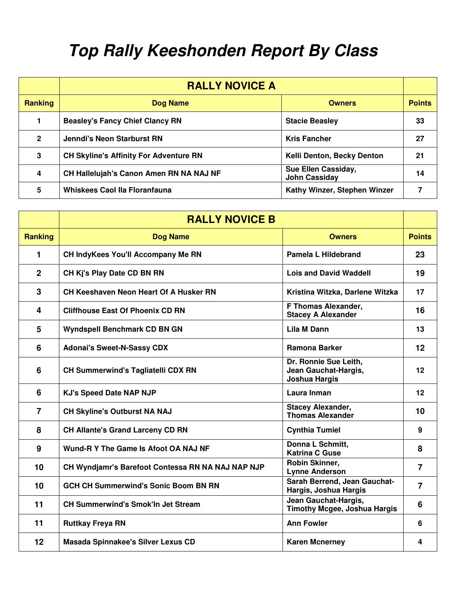## **Top Rally Keeshonden Report By Class**

|                | <b>RALLY NOVICE A</b>                         |                                             |               |
|----------------|-----------------------------------------------|---------------------------------------------|---------------|
| <b>Ranking</b> | <b>Dog Name</b>                               | <b>Owners</b>                               | <b>Points</b> |
|                | <b>Beasley's Fancy Chief Clancy RN</b>        | <b>Stacie Beasley</b>                       | 33            |
| $\overline{2}$ | <b>Jenndi's Neon Starburst RN</b>             | <b>Kris Fancher</b>                         | 27            |
| 3              | <b>CH Skyline's Affinity For Adventure RN</b> | Kelli Denton, Becky Denton                  | 21            |
| 4              | CH Hallelujah's Canon Amen RN NA NAJ NF       | Sue Ellen Cassiday,<br><b>John Cassiday</b> | 14            |
| 5              | <b>Whiskees Caol Ila Floranfauna</b>          | Kathy Winzer, Stephen Winzer                |               |

|                | <b>RALLY NOVICE B</b>                             |                                                                |                |
|----------------|---------------------------------------------------|----------------------------------------------------------------|----------------|
| <b>Ranking</b> | <b>Dog Name</b>                                   | <b>Owners</b>                                                  | <b>Points</b>  |
| 1              | CH IndyKees You'll Accompany Me RN                | Pamela L Hildebrand                                            | 23             |
| $\mathbf{2}$   | CH Kj's Play Date CD BN RN                        | <b>Lois and David Waddell</b>                                  | 19             |
| 3              | CH Keeshaven Neon Heart Of A Husker RN            | Kristina Witzka, Darlene Witzka                                | 17             |
| 4              | <b>Cliffhouse East Of Phoenix CD RN</b>           | F Thomas Alexander,<br><b>Stacey A Alexander</b>               | 16             |
| 5              | <b>Wyndspell Benchmark CD BN GN</b>               | Lila M Dann                                                    | 13             |
| 6              | <b>Adonai's Sweet-N-Sassy CDX</b>                 | <b>Ramona Barker</b>                                           | 12             |
| 6              | <b>CH Summerwind's Tagliatelli CDX RN</b>         | Dr. Ronnie Sue Leith,<br>Jean Gauchat-Hargis,<br>Joshua Hargis | 12             |
| 6              | <b>KJ's Speed Date NAP NJP</b>                    | Laura Inman                                                    | 12             |
| $\overline{7}$ | <b>CH Skyline's Outburst NA NAJ</b>               | <b>Stacey Alexander,</b><br><b>Thomas Alexander</b>            | 10             |
| 8              | <b>CH Allante's Grand Larceny CD RN</b>           | <b>Cynthia Tumiel</b>                                          | 9              |
| 9              | Wund-R Y The Game Is Afoot OA NAJ NF              | Donna L Schmitt.<br><b>Katrina C Guse</b>                      | 8              |
| 10             | CH Wyndjamr's Barefoot Contessa RN NA NAJ NAP NJP | Robin Skinner,<br><b>Lynne Anderson</b>                        | $\overline{7}$ |
| 10             | <b>GCH CH Summerwind's Sonic Boom BN RN</b>       | Sarah Berrend, Jean Gauchat-<br>Hargis, Joshua Hargis          | $\overline{7}$ |
| 11             | <b>CH Summerwind's Smok'ln Jet Stream</b>         | Jean Gauchat-Hargis,<br><b>Timothy Mcgee, Joshua Hargis</b>    | 6              |
| 11             | <b>Ruttkay Freya RN</b>                           | <b>Ann Fowler</b>                                              | 6              |
| 12             | Masada Spinnakee's Silver Lexus CD                | <b>Karen Mcnerney</b>                                          | 4              |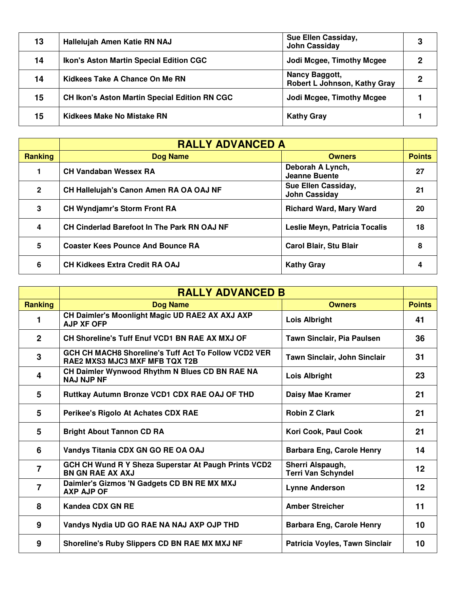| 13 | Hallelujah Amen Katie RN NAJ                         | Sue Ellen Cassiday,<br><b>John Cassiday</b>    | 3 |
|----|------------------------------------------------------|------------------------------------------------|---|
| 14 | Ikon's Aston Martin Special Edition CGC              | Jodi Mcgee, Timothy Mcgee                      | 2 |
| 14 | Kidkees Take A Chance On Me RN                       | Nancy Baggott,<br>Robert L Johnson, Kathy Gray | 2 |
| 15 | <b>CH Ikon's Aston Martin Special Edition RN CGC</b> | Jodi Mcgee, Timothy Mcgee                      |   |
| 15 | Kidkees Make No Mistake RN                           | <b>Kathy Gray</b>                              |   |

|                | <b>RALLY ADVANCED A</b>                     |                                             |               |
|----------------|---------------------------------------------|---------------------------------------------|---------------|
| <b>Ranking</b> | <b>Dog Name</b>                             | <b>Owners</b>                               | <b>Points</b> |
|                | <b>CH Vandaban Wessex RA</b>                | Deborah A Lynch,<br>Jeanne Buente           | 27            |
| $\overline{2}$ | CH Hallelujah's Canon Amen RA OA OAJ NF     | Sue Ellen Cassiday,<br><b>John Cassiday</b> | 21            |
| 3              | <b>CH Wyndjamr's Storm Front RA</b>         | <b>Richard Ward, Mary Ward</b>              | 20            |
| 4              | CH Cinderlad Barefoot In The Park RN OAJ NF | Leslie Meyn, Patricia Tocalis               | 18            |
| 5              | <b>Coaster Kees Pounce And Bounce RA</b>    | <b>Carol Blair, Stu Blair</b>               | 8             |
| 6              | <b>CH Kidkees Extra Credit RA OAJ</b>       | <b>Kathy Gray</b>                           | 4             |

|                | <b>RALLY ADVANCED B</b>                                                                |                                               |               |
|----------------|----------------------------------------------------------------------------------------|-----------------------------------------------|---------------|
| <b>Ranking</b> | <b>Dog Name</b>                                                                        | <b>Owners</b>                                 | <b>Points</b> |
| 1              | CH Daimler's Moonlight Magic UD RAE2 AX AXJ AXP<br><b>AJP XF OFP</b>                   | <b>Lois Albright</b>                          | 41            |
| $\overline{2}$ | <b>CH Shoreline's Tuff Enuf VCD1 BN RAE AX MXJ OF</b>                                  | Tawn Sinclair, Pia Paulsen                    | 36            |
| $\mathbf{3}$   | GCH CH MACH8 Shoreline's Tuff Act To Follow VCD2 VER<br>RAE2 MXS3 MJC3 MXF MFB TQX T2B | Tawn Sinclair, John Sinclair                  | 31            |
| 4              | CH Daimler Wynwood Rhythm N Blues CD BN RAE NA<br><b>NAJ NJP NF</b>                    | <b>Lois Albright</b>                          | 23            |
| 5              | Ruttkay Autumn Bronze VCD1 CDX RAE OAJ OF THD                                          | Daisy Mae Kramer                              | 21            |
| 5              | Perikee's Rigolo At Achates CDX RAE                                                    | <b>Robin Z Clark</b>                          | 21            |
| 5              | <b>Bright About Tannon CD RA</b>                                                       | Kori Cook, Paul Cook                          | 21            |
| 6              | Vandys Titania CDX GN GO RE OA OAJ                                                     | <b>Barbara Eng, Carole Henry</b>              | 14            |
| $\overline{7}$ | GCH CH Wund R Y Sheza Superstar At Paugh Prints VCD2<br><b>BN GN RAE AX AXJ</b>        | Sherri Alspaugh,<br><b>Terri Van Schyndel</b> | 12            |
| $\overline{7}$ | Daimler's Gizmos 'N Gadgets CD BN RE MX MXJ<br><b>AXP AJP OF</b>                       | <b>Lynne Anderson</b>                         | $12 \,$       |
| 8              | <b>Kandea CDX GN RE</b>                                                                | <b>Amber Streicher</b>                        | 11            |
| 9              | Vandys Nydia UD GO RAE NA NAJ AXP OJP THD                                              | <b>Barbara Eng, Carole Henry</b>              | 10            |
| 9              | Shoreline's Ruby Slippers CD BN RAE MX MXJ NF                                          | Patricia Voyles, Tawn Sinclair                | 10            |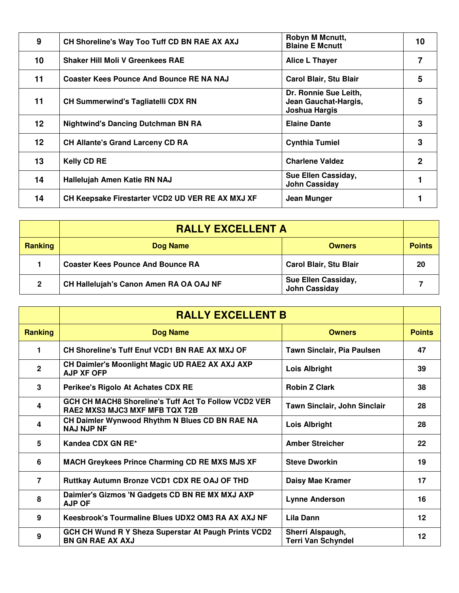| 9               | CH Shoreline's Way Too Tuff CD BN RAE AX AXJ     | Robyn M Mcnutt,<br><b>Blaine E Mcnutt</b>                      | 10             |
|-----------------|--------------------------------------------------|----------------------------------------------------------------|----------------|
| 10              | <b>Shaker Hill Moli V Greenkees RAE</b>          | Alice L Thayer                                                 | $\overline{7}$ |
| 11              | <b>Coaster Kees Pounce And Bounce RE NA NAJ</b>  | <b>Carol Blair, Stu Blair</b>                                  | 5              |
| 11              | <b>CH Summerwind's Tagliatelli CDX RN</b>        | Dr. Ronnie Sue Leith,<br>Jean Gauchat-Hargis,<br>Joshua Hargis | 5              |
| 12 <sub>2</sub> | <b>Nightwind's Dancing Dutchman BN RA</b>        | <b>Elaine Dante</b>                                            | 3              |
| 12              | <b>CH Allante's Grand Larceny CD RA</b>          | <b>Cynthia Tumiel</b>                                          | 3              |
| 13              | <b>Kelly CD RE</b>                               | <b>Charlene Valdez</b>                                         | $\mathbf{2}$   |
| 14              | Hallelujah Amen Katie RN NAJ                     | Sue Ellen Cassiday,<br><b>John Cassiday</b>                    |                |
| 14              | CH Keepsake Firestarter VCD2 UD VER RE AX MXJ XF | Jean Munger                                                    |                |

|                | <b>RALLY EXCELLENT A</b>                 |                                             |               |
|----------------|------------------------------------------|---------------------------------------------|---------------|
| <b>Ranking</b> | Dog Name                                 | <b>Owners</b>                               | <b>Points</b> |
|                | <b>Coaster Kees Pounce And Bounce RA</b> | <b>Carol Blair, Stu Blair</b>               | 20            |
| 2              | CH Hallelujah's Canon Amen RA OA OAJ NF  | Sue Ellen Cassiday,<br><b>John Cassiday</b> |               |

|                | <b>RALLY EXCELLENT B</b>                                                                      |                                               |               |
|----------------|-----------------------------------------------------------------------------------------------|-----------------------------------------------|---------------|
| <b>Ranking</b> | <b>Dog Name</b>                                                                               | <b>Owners</b>                                 | <b>Points</b> |
| 1              | CH Shoreline's Tuff Enuf VCD1 BN RAE AX MXJ OF                                                | Tawn Sinclair, Pia Paulsen                    | 47            |
| $\overline{2}$ | CH Daimler's Moonlight Magic UD RAE2 AX AXJ AXP<br><b>AJP XF OFP</b>                          | <b>Lois Albright</b>                          | 39            |
| 3              | Perikee's Rigolo At Achates CDX RE                                                            | <b>Robin Z Clark</b>                          | 38            |
| 4              | GCH CH MACH8 Shoreline's Tuff Act To Follow VCD2 VER<br><b>RAE2 MXS3 MJC3 MXF MFB TQX T2B</b> | <b>Tawn Sinclair, John Sinclair</b>           | 28            |
| 4              | CH Daimler Wynwood Rhythm N Blues CD BN RAE NA<br><b>NAJ NJP NF</b>                           | <b>Lois Albright</b>                          | 28            |
| 5              | Kandea CDX GN RE*                                                                             | <b>Amber Streicher</b>                        | 22            |
| 6              | MACH Greykees Prince Charming CD RE MXS MJS XF                                                | <b>Steve Dworkin</b>                          | 19            |
| $\overline{7}$ | Ruttkay Autumn Bronze VCD1 CDX RE OAJ OF THD                                                  | Daisy Mae Kramer                              | 17            |
| 8              | Daimler's Gizmos 'N Gadgets CD BN RE MX MXJ AXP<br><b>AJP OF</b>                              | <b>Lynne Anderson</b>                         | 16            |
| 9              | Keesbrook's Tourmaline Blues UDX2 OM3 RA AX AXJ NF                                            | <b>Lila Dann</b>                              | 12            |
| 9              | GCH CH Wund R Y Sheza Superstar At Paugh Prints VCD2<br><b>BN GN RAE AX AXJ</b>               | Sherri Alspaugh,<br><b>Terri Van Schyndel</b> | $12 \,$       |